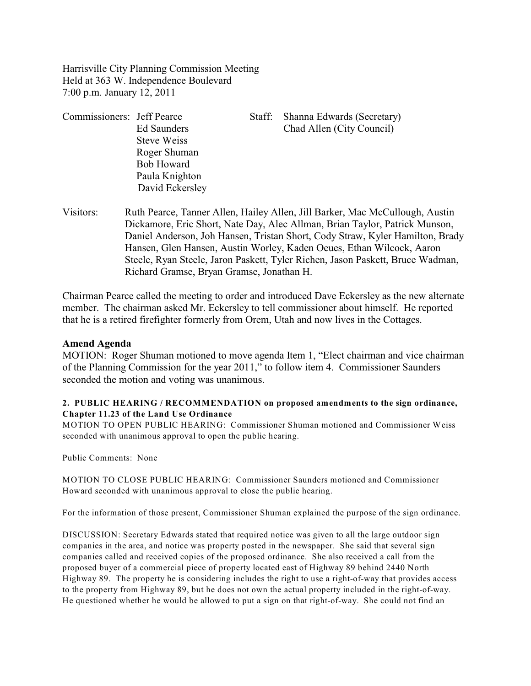Harrisville City Planning Commission Meeting Held at 363 W. Independence Boulevard 7:00 p.m. January 12, 2011

| Commissioners: Jeff Pearce |                   | Staff: | Shanna Edwards (Secretary) |
|----------------------------|-------------------|--------|----------------------------|
|                            | Ed Saunders       |        | Chad Allen (City Council)  |
|                            | Steve Weiss       |        |                            |
|                            | Roger Shuman      |        |                            |
|                            | <b>Bob Howard</b> |        |                            |
|                            | Paula Knighton    |        |                            |
|                            | David Eckersley   |        |                            |

Visitors: Ruth Pearce, Tanner Allen, Hailey Allen, Jill Barker, Mac McCullough, Austin Dickamore, Eric Short, Nate Day, Alec Allman, Brian Taylor, Patrick Munson, Daniel Anderson, Joh Hansen, Tristan Short, Cody Straw, Kyler Hamilton, Brady Hansen, Glen Hansen, Austin Worley, Kaden Oeues, Ethan Wilcock, Aaron Steele, Ryan Steele, Jaron Paskett, Tyler Richen, Jason Paskett, Bruce Wadman, Richard Gramse, Bryan Gramse, Jonathan H.

Chairman Pearce called the meeting to order and introduced Dave Eckersley as the new alternate member. The chairman asked Mr. Eckersley to tell commissioner about himself. He reported that he is a retired firefighter formerly from Orem, Utah and now lives in the Cottages.

## **Amend Agenda**

MOTION: Roger Shuman motioned to move agenda Item 1, "Elect chairman and vice chairman of the Planning Commission for the year 2011," to follow item 4. Commissioner Saunders seconded the motion and voting was unanimous.

#### **2. PUBLIC HEARING / RECOMMENDATION on proposed amendments to the sign ordinance, Chapter 11.23 of the Land Use Ordinance**

MOTION TO OPEN PUBLIC HEARING: Commissioner Shuman motioned and Commissioner Weiss seconded with unanimous approval to open the public hearing.

Public Comments: None

MOTION TO CLOSE PUBLIC HEARING: Commissioner Saunders motioned and Commissioner Howard seconded with unanimous approval to close the public hearing.

For the information of those present, Commissioner Shuman explained the purpose of the sign ordinance.

DISCUSSION: Secretary Edwards stated that required notice was given to all the large outdoor sign companies in the area, and notice was property posted in the newspaper. She said that several sign companies called and received copies of the proposed ordinance. She also received a call from the proposed buyer of a commercial piece of property located east of Highway 89 behind 2440 North Highway 89. The property he is considering includes the right to use a right-of-way that provides access to the property from Highway 89, but he does not own the actual property included in the right-of-way. He questioned whether he would be allowed to put a sign on that right-of-way. She could not find an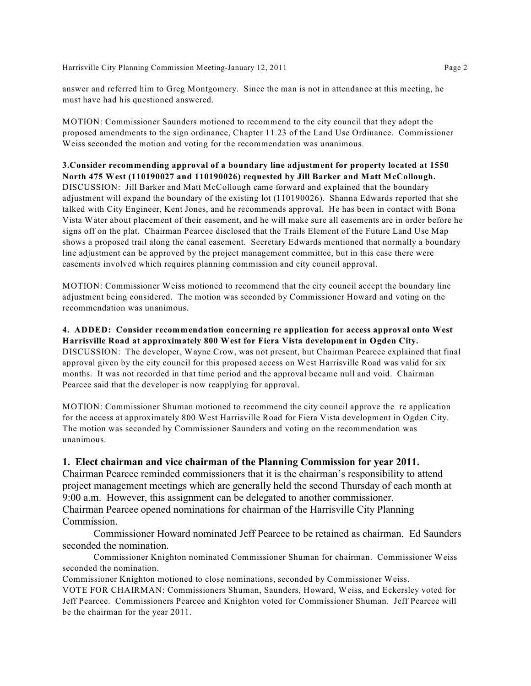Harrisville City Planning Commission Meeting-January 12, 2011 Page 2

answer and referred him to Greg Montgomery. Since the man is not in attendance at this meeting, he must have had his questioned answered.

MOTION: Commissioner Saunders motioned to recommend to the city council that they adopt the proposed amendments to the sign ordinance, Chapter 11.23 of the Land Use Ordinance. Commissioner Weiss seconded the motion and voting for the recommendation was unanimous.

**3.Consider recommending approval of a boundary line adjustment for property located at 1550 North 475 West (110190027 and 110190026) requested by Jill Barker and Matt McCollough.** DISCUSSION: Jill Barker and Matt McCollough came forward and explained that the boundary adjustment will expand the boundary of the existing lot (110190026). Shanna Edwards reported that she talked with City Engineer, Kent Jones, and he recommends approval. He has been in contact with Bona Vista Water about placement of their easement, and he will make sure all easements are in order before he signs off on the plat. Chairman Pearcee disclosed that the Trails Element of the Future Land Use Map shows a proposed trail along the canal easement. Secretary Edwards mentioned that normally a boundary line adjustment can be approved by the project management committee, but in this case there were easements involved which requires planning commission and city council approval.

MOTION: Commissioner Weiss motioned to recommend that the city council accept the boundary line adjustment being considered. The motion was seconded by Commissioner Howard and voting on the recommendation was unanimous.

#### **4. ADDED: Consider recommendation concerning re application for access approval onto West Harrisville Road at approximately 800 West for Fiera Vista development in Ogden City.** DISCUSSION: The developer, Wayne Crow, was not present, but Chairman Pearcee explained that final

approval given by the city council for this proposed access on West Harrisville Road was valid for six months. It was not recorded in that time period and the approval became null and void. Chairman Pearcee said that the developer is now reapplying for approval.

MOTION: Commissioner Shuman motioned to recommend the city council approve the re application for the access at approximately 800 West Harrisville Road for Fiera Vista development in Ogden City. The motion was seconded by Commissioner Saunders and voting on the recommendation was unanimous.

# **1. Elect chairman and vice chairman of the Planning Commission for year 2011.**

Chairman Pearcee reminded commissioners that it is the chairman's responsibility to attend project management meetings which are generally held the second Thursday of each month at 9:00 a.m. However, this assignment can be delegated to another commissioner. Chairman Pearcee opened nominations for chairman of the Harrisville City Planning Commission.

Commissioner Howard nominated Jeff Pearcee to be retained as chairman. Ed Saunders seconded the nomination.

Commissioner Knighton nominated Commissioner Shuman for chairman. Commissioner Weiss seconded the nomination.

Commissioner Knighton motioned to close nominations, seconded by Commissioner Weiss.

VOTE FOR CHAIRMAN: Commissioners Shuman, Saunders, Howard, Weiss, and Eckersley voted for Jeff Pearcee. Commissioners Pearcee and Knighton voted for Commissioner Shuman. Jeff Pearcee will be the chairman for the year 2011.